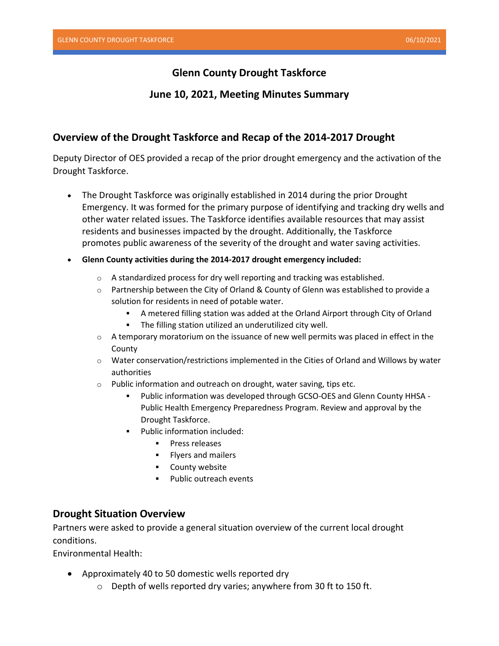# **Glenn County Drought Taskforce**

## **June 10, 2021, Meeting Minutes Summary**

# **Overview of the Drought Taskforce and Recap of the 2014-2017 Drought**

Deputy Director of OES provided a recap of the prior drought emergency and the activation of the Drought Taskforce.

- The Drought Taskforce was originally established in 2014 during the prior Drought Emergency. It was formed for the primary purpose of identifying and tracking dry wells and other water related issues. The Taskforce identifies available resources that may assist residents and businesses impacted by the drought. Additionally, the Taskforce promotes public awareness of the severity of the drought and water saving activities.
- **Glenn County activities during the 2014-2017 drought emergency included:**
	- o A standardized process for dry well reporting and tracking was established.
	- o Partnership between the City of Orland & County of Glenn was established to provide a solution for residents in need of potable water.
		- A metered filling station was added at the Orland Airport through City of Orland
		- The filling station utilized an underutilized city well.
	- $\circ$  A temporary moratorium on the issuance of new well permits was placed in effect in the County
	- o Water conservation/restrictions implemented in the Cities of Orland and Willows by water authorities
	- o Public information and outreach on drought, water saving, tips etc.
		- Public information was developed through GCSO-OES and Glenn County HHSA -Public Health Emergency Preparedness Program. Review and approval by the Drought Taskforce.
		- Public information included:
			- Press releases
			- Flyers and mailers
			- County website
			- **·** Public outreach events

## **Drought Situation Overview**

Partners were asked to provide a general situation overview of the current local drought conditions.

Environmental Health:

- Approximately 40 to 50 domestic wells reported dry
	- o Depth of wells reported dry varies; anywhere from 30 ft to 150 ft.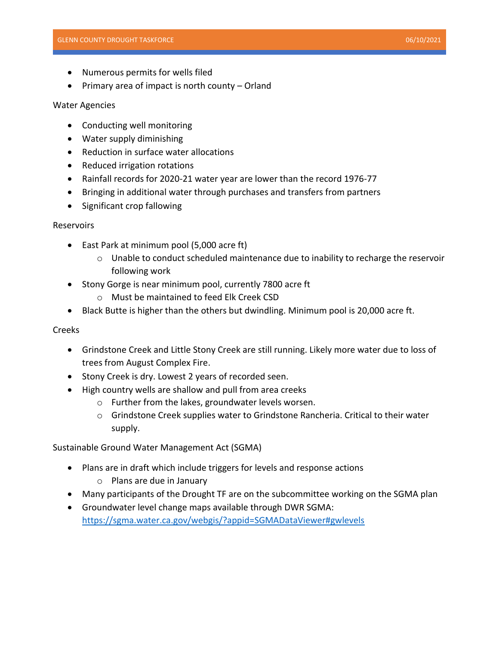- Numerous permits for wells filed
- Primary area of impact is north county Orland

#### Water Agencies

- Conducting well monitoring
- Water supply diminishing
- Reduction in surface water allocations
- Reduced irrigation rotations
- Rainfall records for 2020-21 water year are lower than the record 1976-77
- Bringing in additional water through purchases and transfers from partners
- Significant crop fallowing

#### **Reservoirs**

- East Park at minimum pool (5,000 acre ft)
	- $\circ$  Unable to conduct scheduled maintenance due to inability to recharge the reservoir following work
- Stony Gorge is near minimum pool, currently 7800 acre ft
	- o Must be maintained to feed Elk Creek CSD
- Black Butte is higher than the others but dwindling. Minimum pool is 20,000 acre ft.

#### Creeks

- Grindstone Creek and Little Stony Creek are still running. Likely more water due to loss of trees from August Complex Fire.
- Stony Creek is dry. Lowest 2 years of recorded seen.
- High country wells are shallow and pull from area creeks
	- o Further from the lakes, groundwater levels worsen.
	- o Grindstone Creek supplies water to Grindstone Rancheria. Critical to their water supply.

Sustainable Ground Water Management Act (SGMA)

- Plans are in draft which include triggers for levels and response actions
	- o Plans are due in January
- Many participants of the Drought TF are on the subcommittee working on the SGMA plan
- Groundwater level change maps available through DWR SGMA: <https://sgma.water.ca.gov/webgis/?appid=SGMADataViewer#gwlevels>